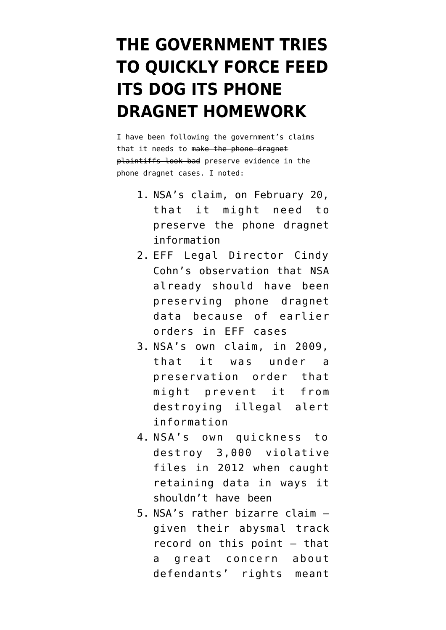## **[THE GOVERNMENT TRIES](https://www.emptywheel.net/2014/03/10/the-government-tries-to-quickly-force-feed-its-dog-its-phone-dragnet-homework/) [TO QUICKLY FORCE FEED](https://www.emptywheel.net/2014/03/10/the-government-tries-to-quickly-force-feed-its-dog-its-phone-dragnet-homework/) [ITS DOG ITS PHONE](https://www.emptywheel.net/2014/03/10/the-government-tries-to-quickly-force-feed-its-dog-its-phone-dragnet-homework/) [DRAGNET HOMEWORK](https://www.emptywheel.net/2014/03/10/the-government-tries-to-quickly-force-feed-its-dog-its-phone-dragnet-homework/)**

I have been following the government's claims that it needs to make the phone dragnet plaintiffs look bad preserve evidence in the phone dragnet cases. I noted:

- 1. NSA's [claim,](http://online.wsj.com/news/articles/SB10001424052702303636404579393413176249186?mg=reno64-wsj&url=http%3A%2F%2Fonline.wsj.com%2Farticle%2FSB10001424052702303636404579393413176249186.html) on February 20, that it might need to preserve the phone dragnet information
- 2. EFF Legal Director Cindy Cohn's observation that NSA already should have been preserving phone dragnet data because of earlier orders in EFF cases
- 3. NSA's [own claim,](http://www.emptywheel.net/2014/02/20/nsas-data-retention-oddities/) in 2009, that it was under a preservation order that might prevent it from destroying illegal alert information
- 4. NSA's own [quickness to](http://www.emptywheel.net/2014/02/20/nsas-data-retention-oddities/) [destroy 3,000 violative](http://www.emptywheel.net/2014/02/20/nsas-data-retention-oddities/) [files](http://www.emptywheel.net/2014/02/20/nsas-data-retention-oddities/) in 2012 when caught retaining data in ways it shouldn't have been
- 5. NSA's rather [bizarre claim](http://www.emptywheel.net/2014/02/26/nsas-newfound-concern-about-defendants-rights-under-fisa/) given their abysmal track record on this point — that a great concern about defendants' rights meant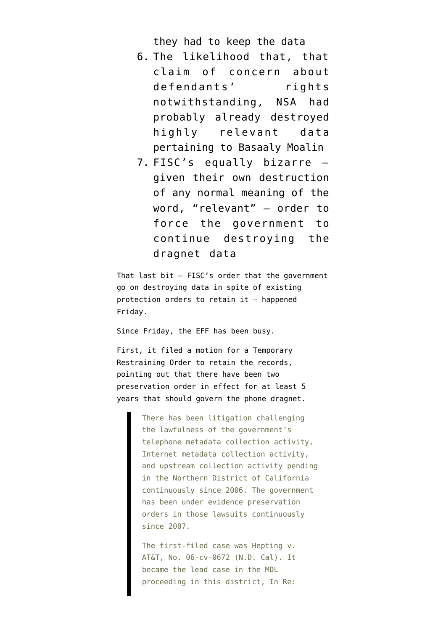they had to keep the data

- 6. The [likelihood](http://www.emptywheel.net/2014/02/26/nsas-newfound-concern-about-defendants-rights-under-fisa/) that, that claim of concern about defendants' rights notwithstanding, NSA had probably already destroyed highly relevant data pertaining to Basaaly Moalin
- 7. FISC's equally bizarre given their own destruction of any normal meaning of the word, "relevant" — [order](http://www.emptywheel.net/2014/03/07/fisa-court-finally-imposes-a-limit-to-relevant/) to force the government to continue destroying the dragnet data

That last bit — FISC's order that the government go on destroying data in spite of existing protection orders to retain it — happened Friday.

Since Friday, the EFF has been busy.

First, it filed a [motion](https://www.eff.org/files/2014/03/10/186_tro_mpa_3.10.14.pdf) for a Temporary Restraining Order to retain the records, pointing out that there have been two preservation order in effect for at least 5 years that should govern the phone dragnet.

> There has been litigation challenging the lawfulness of the government's telephone metadata collection activity, Internet metadata collection activity, and upstream collection activity pending in the Northern District of California continuously since 2006. The government has been under evidence preservation orders in those lawsuits continuously since 2007.

The first-filed case was Hepting v. AT&T, No. 06-cv-0672 (N.D. Cal). It became the lead case in the MDL proceeding in this district, In Re: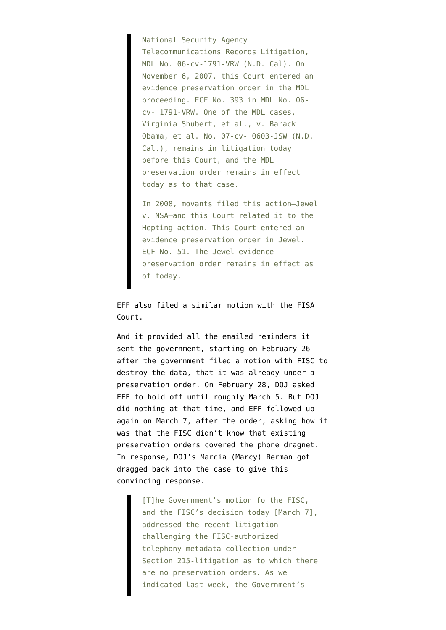National Security Agency Telecommunications Records Litigation, MDL No. 06-cv-1791-VRW (N.D. Cal). On November 6, 2007, this Court entered an evidence preservation order in the MDL proceeding. ECF No. 393 in MDL No. 06 cv- 1791-VRW. One of the MDL cases, Virginia Shubert, et al., v. Barack Obama, et al. No. 07-cv- 0603-JSW (N.D. Cal.), remains in litigation today before this Court, and the MDL preservation order remains in effect today as to that case.

In 2008, movants filed this action—Jewel v. NSA—and this Court related it to the Hepting action. This Court entered an evidence preservation order in Jewel. ECF No. 51. The Jewel evidence preservation order remains in effect as of today.

EFF also filed a [similar motion](https://www.eff.org/files/2014/03/10/jewel_fisc_motion.pdf) with the FISA Court.

And it provided all the [emailed reminders](https://www.eff.org/files/2014/03/10/186.5_cohn_decl_tro_ex_e_3.10.14.pdf) it sent the government, starting on February 26 after the government filed a motion with FISC to destroy the data, that it was already under a preservation order. On February 28, DOJ asked EFF to hold off until roughly March 5. But DOJ did nothing at that time, and EFF followed up again on March 7, after the order, asking how it was that the FISC didn't know that existing preservation orders covered the phone dragnet. In response, DOJ's Marcia (Marcy) Berman got dragged back into the case to give this convincing response.

> [T]he Government's motion fo the FISC, and the FISC's decision today [March 7], addressed the recent litigation challenging the FISC-authorized telephony metadata collection under Section 215-litigation as to which there are no preservation orders. As we indicated last week, the Government's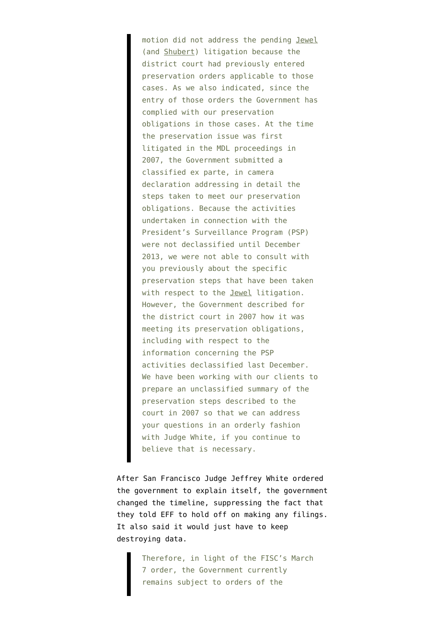motion did not address the pending Jewel (and Shubert) litigation because the district court had previously entered preservation orders applicable to those cases. As we also indicated, since the entry of those orders the Government has complied with our preservation obligations in those cases. At the time the preservation issue was first litigated in the MDL proceedings in 2007, the Government submitted a classified ex parte, in camera declaration addressing in detail the steps taken to meet our preservation obligations. Because the activities undertaken in connection with the President's Surveillance Program (PSP) were not declassified until December 2013, we were not able to consult with you previously about the specific preservation steps that have been taken with respect to the Jewel litigation. However, the Government described for the district court in 2007 how it was meeting its preservation obligations, including with respect to the information concerning the PSP activities declassified last December. We have been working with our clients to prepare an unclassified summary of the preservation steps described to the court in 2007 so that we can address your questions in an orderly fashion with Judge White, if you continue to believe that is necessary.

After San Francisco Judge Jeffrey White [ordered](https://www.eff.org/document/order-tro) the government to explain itself, the government [changed the timeline](https://www.eff.org/files/2014/03/10/govts_response_to_tro.pdf), suppressing the fact that they told EFF to hold off on making any filings. It also said it would just have to keep destroying data.

> Therefore, in light of the FISC's March 7 order, the Government currently remains subject to orders of the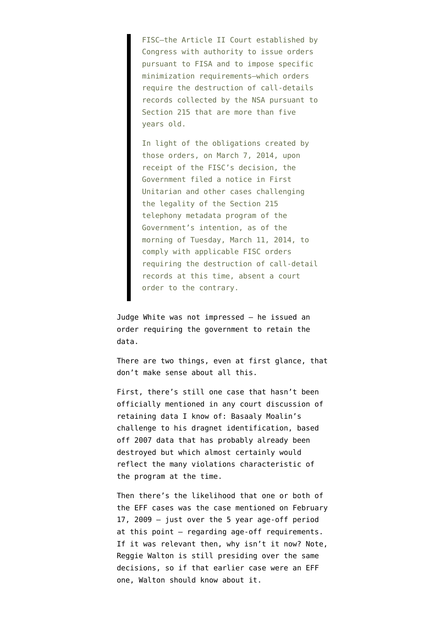FISC—the Article II Court established by Congress with authority to issue orders pursuant to FISA and to impose specific minimization requirements—which orders require the destruction of call-details records collected by the NSA pursuant to Section 215 that are more than five years old.

In light of the obligations created by those orders, on March 7, 2014, upon receipt of the FISC's decision, the Government filed a notice in First Unitarian and other cases challenging the legality of the Section 215 telephony metadata program of the Government's intention, as of the morning of Tuesday, March 11, 2014, to comply with applicable FISC orders requiring the destruction of call-detail records at this time, absent a court order to the contrary.

Judge White was not impressed — he issued an [order](http://images.politico.com/global/2014/03/10/jewelunitshorttroord.html) requiring the government to retain the data.

There are two things, even at first glance, that don't make sense about all this.

First, there's still one case that hasn't been officially mentioned in any court discussion of retaining data I know of: Basaaly Moalin's challenge to his dragnet identification, based off 2007 data that has probably already been destroyed but which almost certainly would reflect the many violations characteristic of the program at the time.

Then there's the likelihood that one or both of the EFF cases was the case mentioned on [February](https://www.aclu.org/files/assets/pub_Feb%2012%202009%20Memorandum%20of%20US.pdf) [17, 2009](https://www.aclu.org/files/assets/pub_Feb%2012%202009%20Memorandum%20of%20US.pdf) — just over the 5 year age-off period at this point — regarding age-off requirements. If it was relevant then, why isn't it now? Note, Reggie Walton is still presiding over the same decisions, so if that earlier case were an EFF one, Walton should know about it.